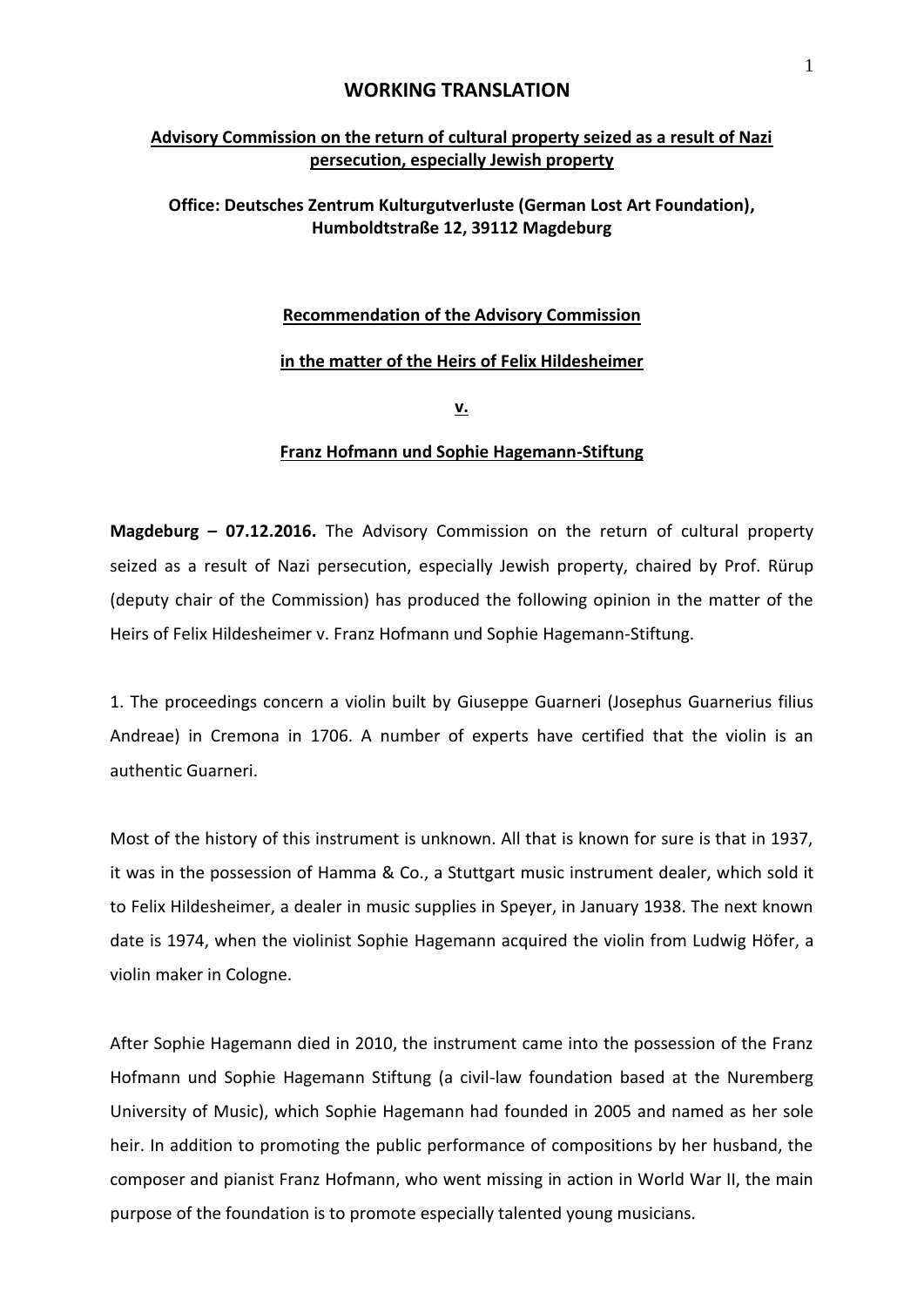### **WORKING TRANSLATION**

# **Advisory Commission on the return of cultural property seized as a result of Nazi persecution, especially Jewish property**

## **Office: Deutsches Zentrum Kulturgutverluste (German Lost Art Foundation), Humboldtstraße 12, 39112 Magdeburg**

#### **Recommendation of the Advisory Commission**

#### **in the matter of the Heirs of Felix Hildesheimer**

**v.** 

#### **Franz Hofmann und Sophie Hagemann-Stiftung**

**Magdeburg – 07.12.2016.** The Advisory Commission on the return of cultural property seized as a result of Nazi persecution, especially Jewish property, chaired by Prof. Rürup (deputy chair of the Commission) has produced the following opinion in the matter of the Heirs of Felix Hildesheimer v. Franz Hofmann und Sophie Hagemann-Stiftung.

1. The proceedings concern a violin built by Giuseppe Guarneri (Josephus Guarnerius filius Andreae) in Cremona in 1706. A number of experts have certified that the violin is an authentic Guarneri.

Most of the history of this instrument is unknown. All that is known for sure is that in 1937, it was in the possession of Hamma & Co., a Stuttgart music instrument dealer, which sold it to Felix Hildesheimer, a dealer in music supplies in Speyer, in January 1938. The next known date is 1974, when the violinist Sophie Hagemann acquired the violin from Ludwig Höfer, a violin maker in Cologne.

After Sophie Hagemann died in 2010, the instrument came into the possession of the Franz Hofmann und Sophie Hagemann Stiftung (a civil-law foundation based at the Nuremberg University of Music), which Sophie Hagemann had founded in 2005 and named as her sole heir. In addition to promoting the public performance of compositions by her husband, the composer and pianist Franz Hofmann, who went missing in action in World War II, the main purpose of the foundation is to promote especially talented young musicians.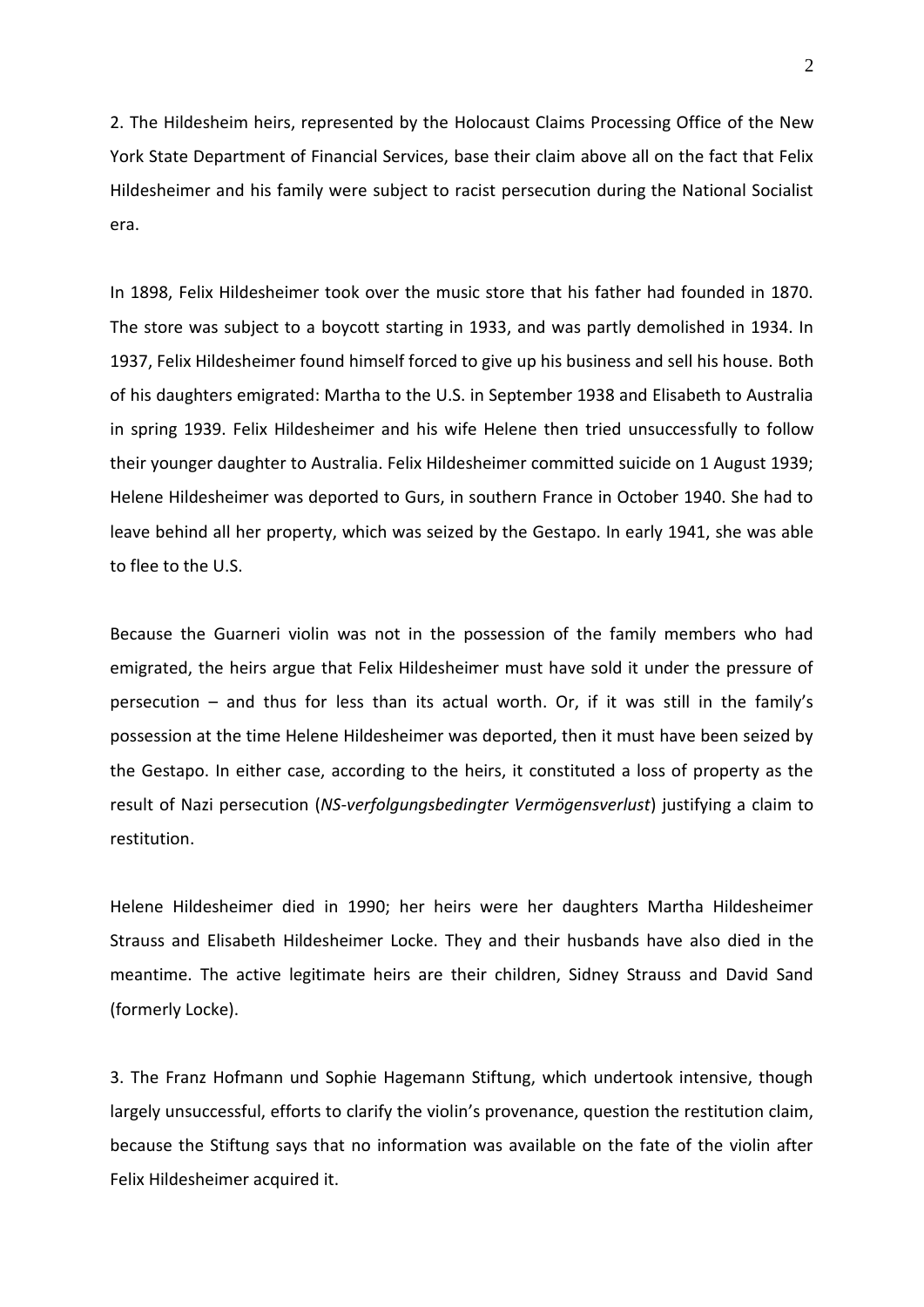2. The Hildesheim heirs, represented by the Holocaust Claims Processing Office of the New York State Department of Financial Services, base their claim above all on the fact that Felix Hildesheimer and his family were subject to racist persecution during the National Socialist era.

In 1898, Felix Hildesheimer took over the music store that his father had founded in 1870. The store was subject to a boycott starting in 1933, and was partly demolished in 1934. In 1937, Felix Hildesheimer found himself forced to give up his business and sell his house. Both of his daughters emigrated: Martha to the U.S. in September 1938 and Elisabeth to Australia in spring 1939. Felix Hildesheimer and his wife Helene then tried unsuccessfully to follow their younger daughter to Australia. Felix Hildesheimer committed suicide on 1 August 1939; Helene Hildesheimer was deported to Gurs, in southern France in October 1940. She had to leave behind all her property, which was seized by the Gestapo. In early 1941, she was able to flee to the U.S.

Because the Guarneri violin was not in the possession of the family members who had emigrated, the heirs argue that Felix Hildesheimer must have sold it under the pressure of persecution – and thus for less than its actual worth. Or, if it was still in the family's possession at the time Helene Hildesheimer was deported, then it must have been seized by the Gestapo. In either case, according to the heirs, it constituted a loss of property as the result of Nazi persecution (*NS-verfolgungsbedingter Vermögensverlust*) justifying a claim to restitution.

Helene Hildesheimer died in 1990; her heirs were her daughters Martha Hildesheimer Strauss and Elisabeth Hildesheimer Locke. They and their husbands have also died in the meantime. The active legitimate heirs are their children, Sidney Strauss and David Sand (formerly Locke).

3. The Franz Hofmann und Sophie Hagemann Stiftung, which undertook intensive, though largely unsuccessful, efforts to clarify the violin's provenance, question the restitution claim, because the Stiftung says that no information was available on the fate of the violin after Felix Hildesheimer acquired it.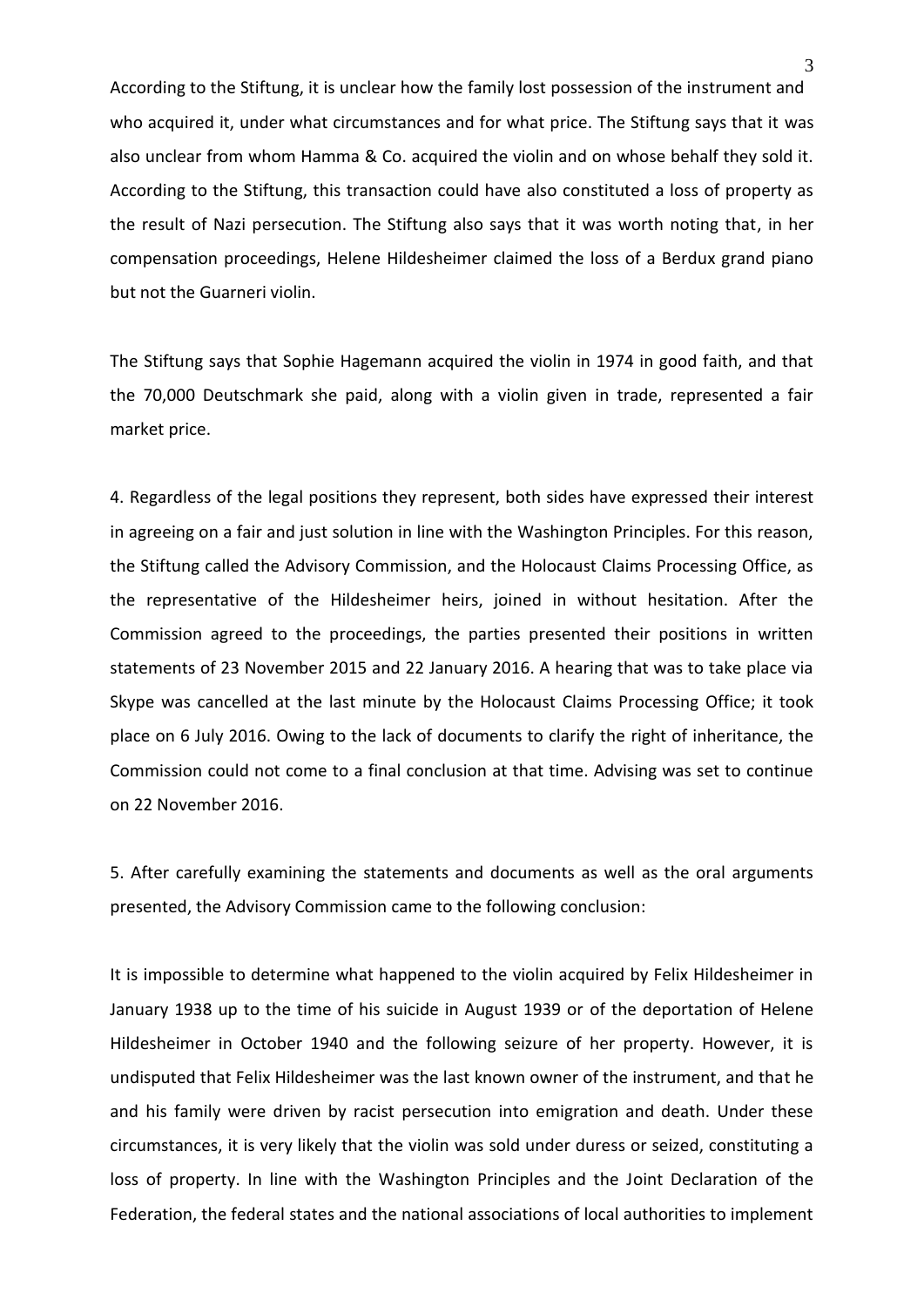According to the Stiftung, it is unclear how the family lost possession of the instrument and who acquired it, under what circumstances and for what price. The Stiftung says that it was also unclear from whom Hamma & Co. acquired the violin and on whose behalf they sold it. According to the Stiftung, this transaction could have also constituted a loss of property as the result of Nazi persecution. The Stiftung also says that it was worth noting that, in her compensation proceedings, Helene Hildesheimer claimed the loss of a Berdux grand piano but not the Guarneri violin.

The Stiftung says that Sophie Hagemann acquired the violin in 1974 in good faith, and that the 70,000 Deutschmark she paid, along with a violin given in trade, represented a fair market price.

4. Regardless of the legal positions they represent, both sides have expressed their interest in agreeing on a fair and just solution in line with the Washington Principles. For this reason, the Stiftung called the Advisory Commission, and the Holocaust Claims Processing Office, as the representative of the Hildesheimer heirs, joined in without hesitation. After the Commission agreed to the proceedings, the parties presented their positions in written statements of 23 November 2015 and 22 January 2016. A hearing that was to take place via Skype was cancelled at the last minute by the Holocaust Claims Processing Office; it took place on 6 July 2016. Owing to the lack of documents to clarify the right of inheritance, the Commission could not come to a final conclusion at that time. Advising was set to continue on 22 November 2016.

5. After carefully examining the statements and documents as well as the oral arguments presented, the Advisory Commission came to the following conclusion:

It is impossible to determine what happened to the violin acquired by Felix Hildesheimer in January 1938 up to the time of his suicide in August 1939 or of the deportation of Helene Hildesheimer in October 1940 and the following seizure of her property. However, it is undisputed that Felix Hildesheimer was the last known owner of the instrument, and that he and his family were driven by racist persecution into emigration and death. Under these circumstances, it is very likely that the violin was sold under duress or seized, constituting a loss of property. In line with the Washington Principles and the Joint Declaration of the Federation, the federal states and the national associations of local authorities to implement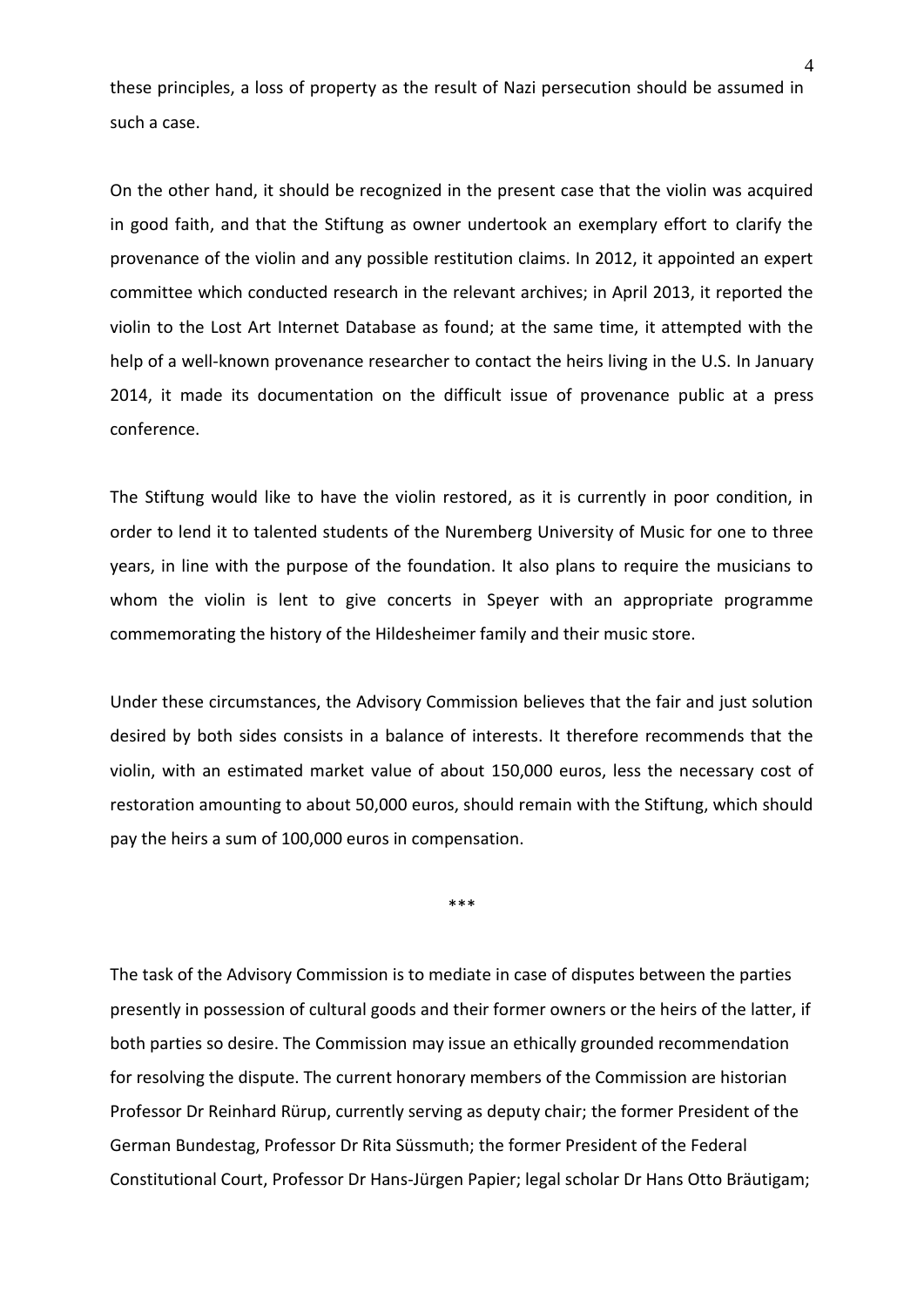these principles, a loss of property as the result of Nazi persecution should be assumed in such a case.

On the other hand, it should be recognized in the present case that the violin was acquired in good faith, and that the Stiftung as owner undertook an exemplary effort to clarify the provenance of the violin and any possible restitution claims. In 2012, it appointed an expert committee which conducted research in the relevant archives; in April 2013, it reported the violin to the Lost Art Internet Database as found; at the same time, it attempted with the help of a well-known provenance researcher to contact the heirs living in the U.S. In January 2014, it made its documentation on the difficult issue of provenance public at a press conference.

The Stiftung would like to have the violin restored, as it is currently in poor condition, in order to lend it to talented students of the Nuremberg University of Music for one to three years, in line with the purpose of the foundation. It also plans to require the musicians to whom the violin is lent to give concerts in Speyer with an appropriate programme commemorating the history of the Hildesheimer family and their music store.

Under these circumstances, the Advisory Commission believes that the fair and just solution desired by both sides consists in a balance of interests. It therefore recommends that the violin, with an estimated market value of about 150,000 euros, less the necessary cost of restoration amounting to about 50,000 euros, should remain with the Stiftung, which should pay the heirs a sum of 100,000 euros in compensation.

\*\*\*

The task of the Advisory Commission is to mediate in case of disputes between the parties presently in possession of cultural goods and their former owners or the heirs of the latter, if both parties so desire. The Commission may issue an ethically grounded recommendation for resolving the dispute. The current honorary members of the Commission are historian Professor Dr Reinhard Rürup, currently serving as deputy chair; the former President of the German Bundestag, Professor Dr Rita Süssmuth; the former President of the Federal Constitutional Court, Professor Dr Hans-Jürgen Papier; legal scholar Dr Hans Otto Bräutigam;